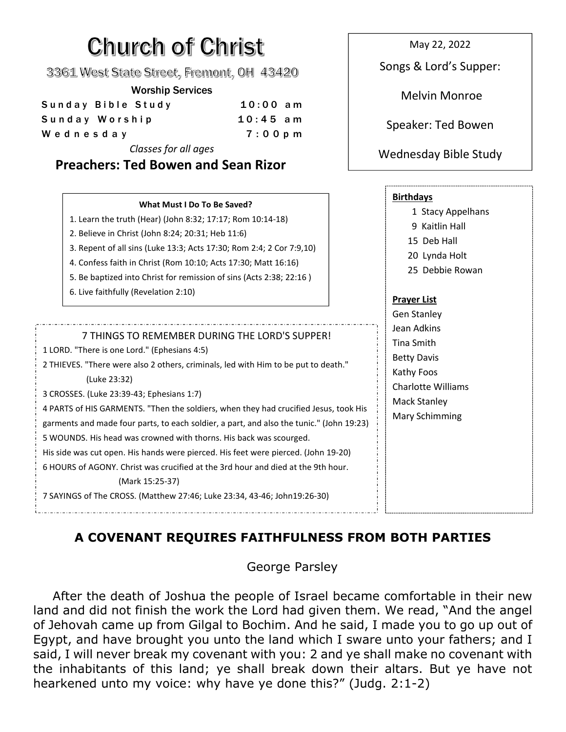## Church of Christ

3361 West State Street, Fremont, OH 43420

## Worship Services

| Sunday Bible Study | $10:00$ am |                    |
|--------------------|------------|--------------------|
| Sunday Worship     | $10:45$ am | Speaker: Ted Bowen |
| Wednesday          | $7:00$ pm  |                    |
|                    |            |                    |

*Classes for all ages*

**Preachers: Ted Bowen and Sean Rizor Birthdays** 1 Stacy Appelhans 9 Kaitlin Hall 15 Deb Hall 20 Lynda Holt 25 Debbie Rowan **Prayer List** Gen Stanley Jean Adkins Tina Smith Betty Davis Kathy Foos Charlotte Williams Mack Stanley Mary Schimming **What Must I Do To Be Saved?** 1. Learn the truth (Hear) (John 8:32; 17:17; Rom 10:14-18) 2. Believe in Christ (John 8:24; 20:31; Heb 11:6) 3. Repent of all sins (Luke 13:3; Acts 17:30; Rom 2:4; 2 Cor 7:9,10) 4. Confess faith in Christ(Rom 10:10; Acts 17:30; Matt 16:16) 5. Be baptized into Christ for remission of sins (Acts 2:38; 22:16 ) 6. Live faithfully (Revelation 2:10) 7 THINGS TO REMEMBER DURING THE LORD'S SUPPER! 1 LORD. "There is one Lord." (Ephesians 4:5) 2 THIEVES. "There were also 2 others, criminals, led with Him to be put to death." (Luke 23:32) 3 CROSSES. (Luke 23:39-43; Ephesians 1:7) 4 PARTS of HIS GARMENTS. "Then the soldiers,when they had crucified Jesus, took His garments and made four parts, to each soldier, a part, and also the tunic." (John 19:23) 5 WOUNDS. His head was crowned with thorns. His back was scourged. His side was cut open. His hands were pierced. His feet were pierced. (John 19-20) 6 HOURS of AGONY. Christ was crucified at the 3rd hour and died at the 9th hour. (Mark 15:25-37) 7 SAYINGS of The CROSS. (Matthew 27:46; Luke 23:34, 43-46; John19:26-30)

## **A COVENANT REQUIRES FAITHFULNESS FROM BOTH PARTIES**

## George Parsley

After the death of Joshua the people of Israel became comfortable in their new land and did not finish the work the Lord had given them. We read, "And the angel of Jehovah came up from Gilgal to Bochim. And he said, I made you to go up out of Egypt, and have brought you unto the land which I sware unto your fathers; and I said, I will never break my covenant with you: 2 and ye shall make no covenant with the inhabitants of this land; ye shall break down their altars. But ye have not hearkened unto my voice: why have ye done this?" (Judg. 2:1-2)

May 22, 2022

Songs & Lord's Supper:

Melvin Monroe

Wednesday Bible Study